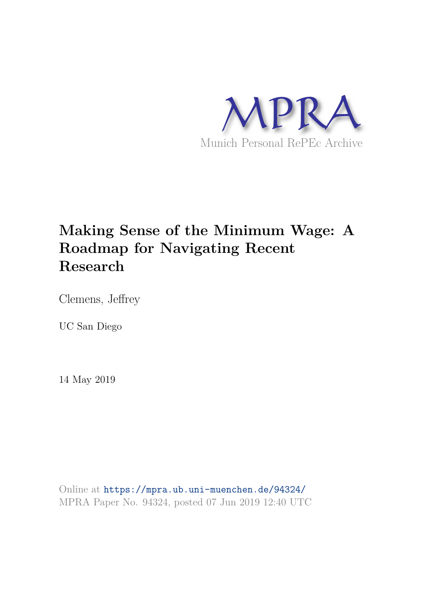

### **Making Sense of the Minimum Wage: A Roadmap for Navigating Recent Research**

Clemens, Jeffrey

UC San Diego

14 May 2019

Online at https://mpra.ub.uni-muenchen.de/94324/ MPRA Paper No. 94324, posted 07 Jun 2019 12:40 UTC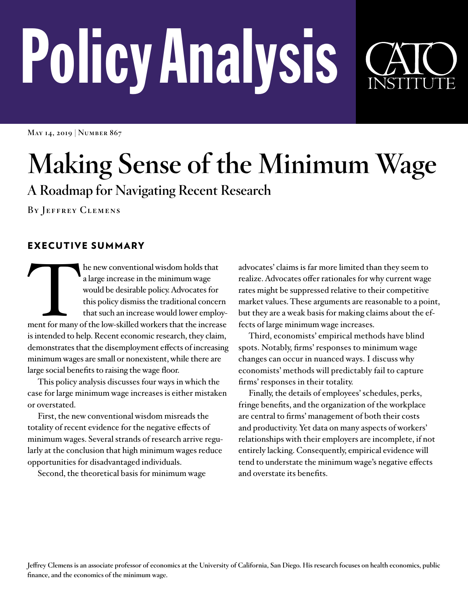# Policy Analysis

**May 14, 2019 | Number 867**

## **Making Sense of the Minimum Wage**

**A Roadmap for Navigating Recent Research**

**By Jeffrey Clemens**

#### EXECUTIVE SUMMARY

Ment for many he new conventional wisdom holds that a large increase in the minimum wage would be desirable policy. Advocates for this policy dismiss the traditional concern that such an increase would lower employment for many of the low-skilled workers that the increase is intended to help. Recent economic research, they claim, demonstrates that the disemployment effects of increasing minimum wages are small or nonexistent, while there are large social benefits to raising the wage floor.

This policy analysis discusses four ways in which the case for large minimum wage increases is either mistaken or overstated.

First, the new conventional wisdom misreads the totality of recent evidence for the negative effects of minimum wages. Several strands of research arrive regularly at the conclusion that high minimum wages reduce opportunities for disadvantaged individuals.

Second, the theoretical basis for minimum wage

advocates' claims is far more limited than they seem to realize. Advocates offer rationales for why current wage rates might be suppressed relative to their competitive market values. These arguments are reasonable to a point, but they are a weak basis for making claims about the effects of large minimum wage increases.

Third, economists' empirical methods have blind spots. Notably, firms' responses to minimum wage changes can occur in nuanced ways. I discuss why economists' methods will predictably fail to capture firms' responses in their totality.

Finally, the details of employees' schedules, perks, fringe benefits, and the organization of the workplace are central to firms' management of both their costs and productivity. Yet data on many aspects of workers' relationships with their employers are incomplete, if not entirely lacking. Consequently, empirical evidence will tend to understate the minimum wage's negative effects and overstate its benefits.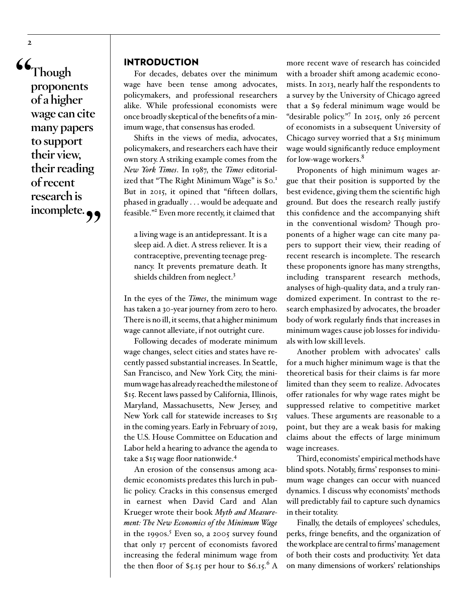**" Though proponents of a higher wage can cite many papers to support their view, their reading of recent research is**  incomplete.  $\rightarrow$ 

**2**

#### INTRODUCTION

For decades, debates over the minimum wage have been tense among advocates, policy makers, and professional researchers alike. While professional economists were once broadly skeptical of the benefits of a minimum wage, that consensus has eroded.

Shifts in the views of media, advocates, policymakers, and researchers each have their own story. A striking example comes from the *New York Times*. In 1987, the *Times* editorialized that "The Right Minimum Wage" is \$0.<sup>1</sup> But in 2015, it opined that "fifteen dollars, phased in gradually . . . would be adequate and feasible."<sup>2</sup> Even more recently, it claimed that

a living wage is an antidepressant. It is a sleep aid. A diet. A stress reliever. It is a contraceptive, preventing teenage pregnancy. It prevents premature death. It shields children from neglect.<sup>3</sup>

In the eyes of the *Times*, the minimum wage has taken a 30-year journey from zero to hero. There is no ill, it seems, that a higher minimum wage cannot alleviate, if not outright cure.

Following decades of moderate minimum wage changes, select cities and states have recently passed substantial increases. In Seattle, San Francisco, and New York City, the minimum wage has already reached the milestone of \$15. Recent laws passed by California, Illinois, Maryland, Massachusetts, New Jersey, and New York call for statewide increases to \$15 in the coming years. Early in February of 2019, the U.S. House Committee on Education and Labor held a hearing to advance the agenda to take a \$15 wage floor nationwide.<sup>4</sup>

An erosion of the consensus among academic economists predates this lurch in public policy. Cracks in this consensus emerged in earnest when David Card and Alan Krueger wrote their book *Myth and Measurement: The New Economics of the Minimum Wage*  in the 1990s.<sup>5</sup> Even so, a 2005 survey found that only 17 percent of economists favored increasing the federal minimum wage from the then floor of \$5.15 per hour to  $$6.15.^{6} \text{ A}$ 

more recent wave of research has coincided with a broader shift among academic economists. In 2013, nearly half the respondents to a survey by the University of Chicago agreed that a \$9 federal minimum wage would be "desirable policy."<sup>7</sup> In 2015, only 26 percent of economists in a subsequent University of Chicago survey worried that a \$15 minimum wage would significantly reduce employment for low-wage workers.<sup>8</sup>

Proponents of high minimum wages argue that their position is supported by the best evidence, giving them the scientific high ground. But does the research really justify this confidence and the accompanying shift in the conventional wisdom? Though proponents of a higher wage can cite many papers to support their view, their reading of recent research is incomplete. The research these proponents ignore has many strengths, including transparent research methods, analyses of high-quality data, and a truly randomized experiment. In contrast to the research emphasized by advocates, the broader body of work regularly finds that increases in minimum wages cause job losses for individuals with low skill levels.

Another problem with advocates' calls for a much higher minimum wage is that the theoretical basis for their claims is far more limited than they seem to realize. Advocates offer rationales for why wage rates might be suppressed relative to competitive market values. These arguments are reasonable to a point, but they are a weak basis for making claims about the effects of large minimum wage increases.

Third, economists' empirical methods have blind spots. Notably, firms' responses to minimum wage changes can occur with nuanced dynamics. I discuss why economists' methods will predictably fail to capture such dynamics in their totality.

Finally, the details of employees' schedules, perks, fringe benefits, and the organization of the workplace are central to firms' management of both their costs and productivity. Yet data on many dimensions of workers' relationships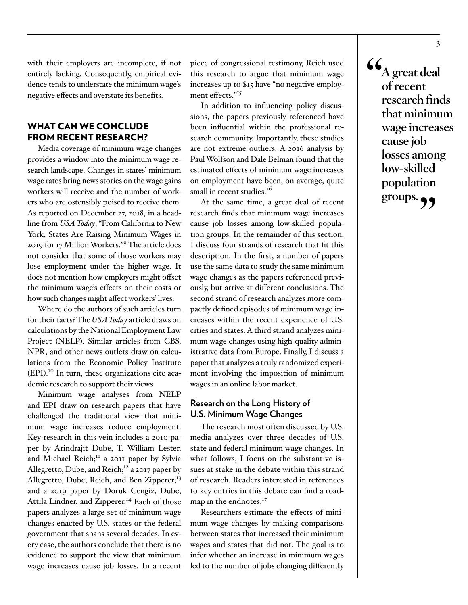with their employers are incomplete, if not entirely lacking. Consequently, empirical evidence tends to understate the minimum wage's negative effects and overstate its benefits.

#### WHAT CAN WE CONCLUDE FROM RECENT RESEARCH?

Media coverage of minimum wage changes provides a window into the minimum wage research landscape. Changes in states' minimum wage rates bring news stories on the wage gains workers will receive and the number of workers who are ostensibly poised to receive them. As reported on December 27, 2018, in a headline from *USA Today*, "From California to New York, States Are Raising Minimum Wages in 2019 for 17 Million Workers."<sup>9</sup> The article does not consider that some of those workers may lose employment under the higher wage. It does not mention how employers might offset the minimum wage's effects on their costs or how such changes might affect workers' lives.

Where do the authors of such articles turn for their facts? The *USA Today* article draws on calculations by the National Employment Law Project (NELP). Similar articles from CBS, NPR, and other news outlets draw on calculations from the Economic Policy Institute (EPI).10 In turn, these organizations cite academic research to support their views.

Minimum wage analyses from NELP and EPI draw on research papers that have challenged the traditional view that minimum wage increases reduce employment. Key research in this vein includes a 2010 paper by Arindrajit Dube, T. William Lester, and Michael Reich; $^{II}$  a 2011 paper by Sylvia Allegretto, Dube, and Reich;<sup>12</sup> a 2017 paper by Allegretto, Dube, Reich, and Ben Zipperer;<sup>13</sup> and a 2019 paper by Doruk Cengiz, Dube, Attila Lindner, and Zipperer.<sup>14</sup> Each of those papers analyzes a large set of minimum wage changes enacted by U.S. states or the federal government that spans several decades. In every case, the authors conclude that there is no evidence to support the view that minimum wage increases cause job losses. In a recent

piece of congressional testimony, Reich used this research to argue that minimum wage increases up to \$15 have "no negative employment effects."<sup>15</sup>

In addition to influencing policy discussions, the papers previously referenced have been influential within the professional research community. Importantly, these studies are not extreme outliers. A 2016 analysis by Paul Wolfson and Dale Belman found that the estimated effects of minimum wage increases on employment have been, on average, quite small in recent studies.<sup>16</sup>

At the same time, a great deal of recent research finds that minimum wage increases cause job losses among low-skilled population groups. In the remainder of this section, I discuss four strands of research that fit this description. In the first, a number of papers use the same data to study the same minimum wage changes as the papers referenced previously, but arrive at different conclusions. The second strand of research analyzes more compactly defined episodes of minimum wage increases within the recent experience of U.S. cities and states. A third strand analyzes minimum wage changes using high-quality administrative data from Europe. Finally, I discuss a paper that analyzes a truly randomized experiment involving the imposition of minimum wages in an online labor market.

#### **Research on the Long History of U.S. Minimum Wage Changes**

The research most often discussed by U.S. media analyzes over three decades of U.S. state and federal minimum wage changes. In what follows, I focus on the substantive issues at stake in the debate within this strand of research. Readers interested in references to key entries in this debate can find a roadmap in the endnotes.<sup>17</sup>

Researchers estimate the effects of minimum wage changes by making comparisons between states that increased their minimum wages and states that did not. The goal is to infer whether an increase in minimum wages led to the number of jobs changing differently **" A great deal of recent research finds that minimum wage increases cause job losses among low-skilled population**  groups.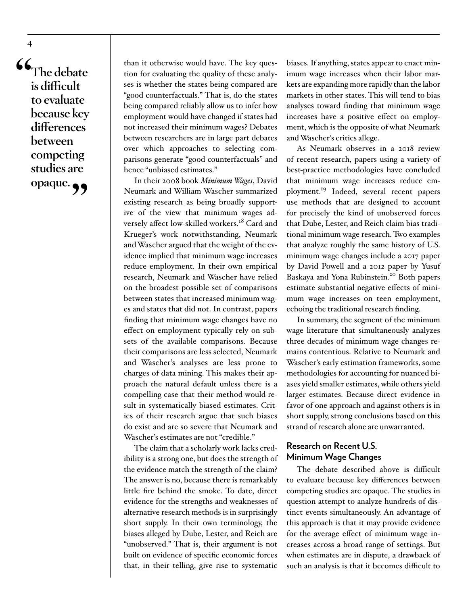$66,$ <br> $\frac{1}{1}$ **The debate is difficult to evaluate because key differences between competing studies are opaque."**

**4**

than it otherwise would have. The key question for evaluating the quality of these analyses is whether the states being compared are "good counterfactuals." That is, do the states being compared reliably allow us to infer how employment would have changed if states had not increased their minimum wages? Debates between researchers are in large part debates over which approaches to selecting comparisons generate "good counterfactuals" and hence "unbiased estimates."

In their 2008 book *Minimum Wages*, David Neumark and William Wascher summarized existing research as being broadly supportive of the view that minimum wages adversely affect low-skilled workers.<sup>18</sup> Card and Krueger's work notwithstanding, Neumark and Wascher argued that the weight of the evidence implied that minimum wage increases reduce employment. In their own empirical research, Neumark and Wascher have relied on the broadest possible set of comparisons between states that increased minimum wages and states that did not. In contrast, papers finding that minimum wage changes have no effect on employment typically rely on subsets of the available comparisons. Because their comparisons are less selected, Neumark and Wascher's analyses are less prone to charges of data mining. This makes their approach the natural default unless there is a compelling case that their method would result in systematically biased estimates. Critics of their research argue that such biases do exist and are so severe that Neumark and Wascher's estimates are not "credible."

The claim that a scholarly work lacks credibility is a strong one, but does the strength of the evidence match the strength of the claim? The answer is no, because there is remarkably little fire behind the smoke. To date, direct evidence for the strengths and weaknesses of alternative research methods is in surprisingly short supply. In their own terminology, the biases alleged by Dube, Lester, and Reich are "unobserved." That is, their argument is not built on evidence of specific economic forces that, in their telling, give rise to systematic

biases. If anything, states appear to enact minimum wage increases when their labor markets are expanding more rapidly than the labor markets in other states. This will tend to bias analyses toward finding that minimum wage increases have a positive effect on employment, which is the opposite of what Neumark and Wascher's critics allege.

As Neumark observes in a 2018 review of recent research, papers using a variety of best-practice methodologies have concluded that minimum wage increases reduce employment.19 Indeed, several recent papers use methods that are designed to account for precisely the kind of unobserved forces that Dube, Lester, and Reich claim bias traditional minimum wage research. Two examples that analyze roughly the same history of U.S. minimum wage changes include a 2017 paper by David Powell and a 2012 paper by Yusuf Baskaya and Yona Rubinstein.<sup>20</sup> Both papers estimate substantial negative effects of minimum wage increases on teen employment, echoing the traditional research finding.

In summary, the segment of the minimum wage literature that simultaneously analyzes three decades of minimum wage changes remains contentious. Relative to Neumark and Wascher's early estimation frameworks, some methodologies for accounting for nuanced biases yield smaller estimates, while others yield larger estimates. Because direct evidence in favor of one approach and against others is in short supply, strong conclusions based on this strand of research alone are unwarranted.

#### **Research on Recent U.S. Minimum Wage Changes**

The debate described above is difficult to evaluate because key differences between competing studies are opaque. The studies in question attempt to analyze hundreds of distinct events simultaneously. An advantage of this approach is that it may provide evidence for the average effect of minimum wage increases across a broad range of settings. But when estimates are in dispute, a drawback of such an analysis is that it becomes difficult to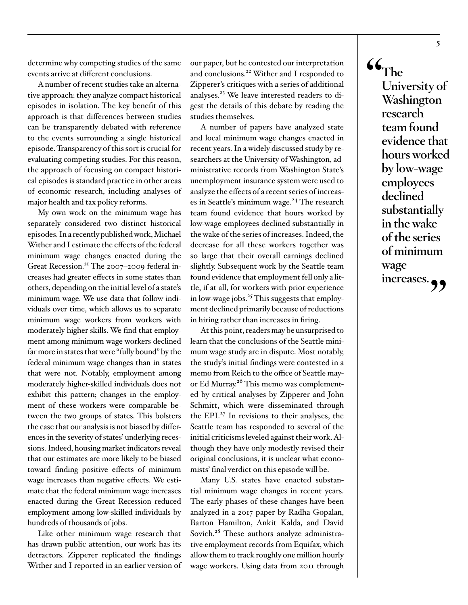determine why competing studies of the same events arrive at different conclusions.

A number of recent studies take an alternative approach: they analyze compact historical episodes in isolation. The key benefit of this approach is that differences between studies can be transparently debated with reference to the events surrounding a single historical episode. Transparency of this sort is crucial for evaluating competing studies. For this reason, the approach of focusing on compact historical episodes is standard practice in other areas of economic research, including analyses of major health and tax policy reforms.

My own work on the minimum wage has separately considered two distinct historical episodes. In a recently published work, Michael Wither and I estimate the effects of the federal minimum wage changes enacted during the Great Recession.<sup>21</sup> The 2007-2009 federal increases had greater effects in some states than others, depending on the initial level of a state's minimum wage. We use data that follow individuals over time, which allows us to separate minimum wage workers from workers with moderately higher skills. We find that employment among minimum wage workers declined far more in states that were "fully bound" by the federal minimum wage changes than in states that were not. Notably, employment among moderately higher-skilled individuals does not exhibit this pattern; changes in the employment of these workers were comparable between the two groups of states. This bolsters the case that our analysis is not biased by differences in the severity of states' underlying recessions. Indeed, housing market indicators reveal that our estimates are more likely to be biased toward finding positive effects of minimum wage increases than negative effects. We estimate that the federal minimum wage increases enacted during the Great Recession reduced employment among low-skilled individuals by hundreds of thousands of jobs.

Like other minimum wage research that has drawn public attention, our work has its detractors. Zipperer replicated the findings Wither and I reported in an earlier version of our paper, but he contested our interpretation and conclusions.<sup>22</sup> Wither and I responded to Zipperer's critiques with a series of additional analyses.<sup>23</sup> We leave interested readers to digest the details of this debate by reading the studies themselves.

A number of papers have analyzed state and local minimum wage changes enacted in recent years. In a widely discussed study by researchers at the University of Washington, administrative records from Washington State's unemployment insurance system were used to analyze the effects of a recent series of increases in Seattle's minimum wage.<sup>24</sup> The research team found evidence that hours worked by low-wage employees declined substantially in the wake of the series of increases. Indeed, the decrease for all these workers together was so large that their overall earnings declined slightly. Subsequent work by the Seattle team found evidence that employment fell only a little, if at all, for workers with prior experience in low-wage jobs.<sup>25</sup> This suggests that employment declined primarily because of reductions in hiring rather than increases in firing.

At this point, readers may be unsurprised to learn that the conclusions of the Seattle minimum wage study are in dispute. Most notably, the study's initial findings were contested in a memo from Reich to the office of Seattle mayor Ed Murray.<sup>26</sup> This memo was complemented by critical analyses by Zipperer and John Schmitt, which were disseminated through the EPI.27 In revisions to their analyses, the Seattle team has responded to several of the initial criticisms leveled against their work. Although they have only modestly revised their original conclusions, it is unclear what economists' final verdict on this episode will be.

Many U.S. states have enacted substantial minimum wage changes in recent years. The early phases of these changes have been analyzed in a 2017 paper by Radha Gopalan, Barton Hamilton, Ankit Kalda, and David Sovich.<sup>28</sup> These authors analyze administrative employment records from Equifax, which allow them to track roughly one million hourly wage workers. Using data from 2011 through **" The University of Washington research team found evidence that hours worked by low-wage employees declined substantially in the wake of the series of minimum wage**  increases.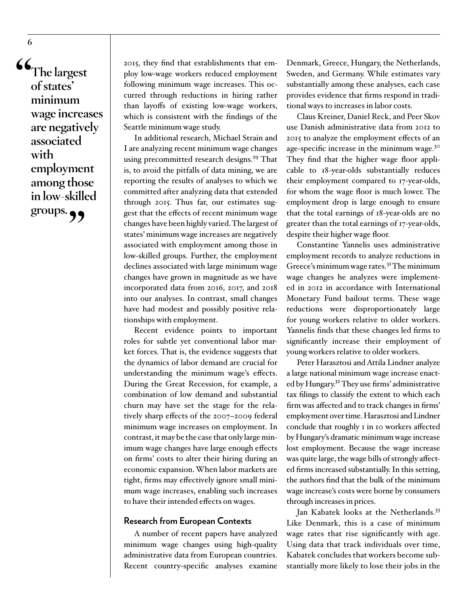**" The largest of states' minimum wage increases are negatively associated with employment among those in low-skilled**  groups.

2015, they find that establishments that employ low-wage workers reduced employment following minimum wage increases. This occurred through reductions in hiring rather than layoffs of existing low-wage workers, which is consistent with the findings of the Seattle minimum wage study.

In additional research, Michael Strain and I are analyzing recent minimum wage changes using precommitted research designs.<sup>29</sup> That is, to avoid the pitfalls of data mining, we are reporting the results of analyses to which we committed after analyzing data that extended through 2015. Thus far, our estimates suggest that the effects of recent minimum wage changes have been highly varied. The largest of states' minimum wage increases are negatively associated with employment among those in low-skilled groups. Further, the employment declines associated with large minimum wage changes have grown in magnitude as we have incorporated data from 2016, 2017, and 2018 into our analyses. In contrast, small changes have had modest and possibly positive relationships with employment.

Recent evidence points to important roles for subtle yet conventional labor market forces. That is, the evidence suggests that the dynamics of labor demand are crucial for understanding the minimum wage's effects. During the Great Recession, for example, a combination of low demand and substantial churn may have set the stage for the relatively sharp effects of the 2007–2009 federal minimum wage increases on employment. In contrast, it may be the case that only large minimum wage changes have large enough effects on firms' costs to alter their hiring during an economic expansion. When labor markets are tight, firms may effectively ignore small minimum wage increases, enabling such increases to have their intended effects on wages.

#### **Research from European Contexts**

A number of recent papers have analyzed minimum wage changes using high-quality administrative data from European countries. Recent country-specific analyses examine

Denmark, Greece, Hungary, the Netherlands, Sweden, and Germany. While estimates vary substantially among these analyses, each case provides evidence that firms respond in traditional ways to increases in labor costs.

Claus Kreiner, Daniel Reck, and Peer Skov use Danish administrative data from 2012 to 2015 to analyze the employment effects of an age-specific increase in the minimum wage.<sup>30</sup> They find that the higher wage floor applicable to 18-year-olds substantially reduces their employment compared to 17-year-olds, for whom the wage floor is much lower. The employment drop is large enough to ensure that the total earnings of 18-year-olds are no greater than the total earnings of 17-year-olds, despite their higher wage floor.

Constantine Yannelis uses administrative employment records to analyze reductions in Greece's minimum wage rates.<sup>31</sup> The minimum wage changes he analyzes were implemented in 2012 in accordance with International Monetary Fund bailout terms. These wage reductions were disproportionately large for young workers relative to older workers. Yannelis finds that these changes led firms to significantly increase their employment of young workers relative to older workers.

Peter Harasztosi and Attila Lindner analyze a large national minimum wage increase enacted by Hungary.<sup>32</sup> They use firms' administrative tax filings to classify the extent to which each firm was affected and to track changes in firms' employment over time. Harasztosi and Lindner conclude that roughly 1 in 10 workers affected by Hungary's dramatic minimum wage increase lost employment. Because the wage increase was quite large, the wage bills of strongly affected firms increased substantially. In this setting, the authors find that the bulk of the minimum wage increase's costs were borne by consumers through increases in prices.

Jan Kabatek looks at the Netherlands.<sup>33</sup> Like Denmark, this is a case of minimum wage rates that rise significantly with age. Using data that track individuals over time, Kabatek concludes that workers become substantially more likely to lose their jobs in the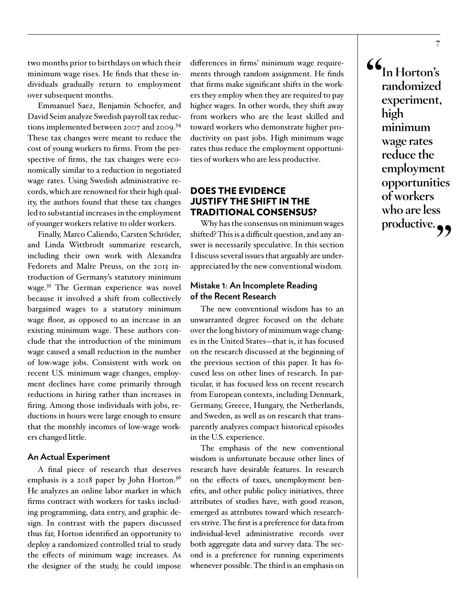two months prior to birthdays on which their minimum wage rises. He finds that these individuals gradually return to employment over subsequent months.

Emmanuel Saez, Benjamin Schoefer, and David Seim analyze Swedish payroll tax reductions implemented between 2007 and 2009.<sup>34</sup> These tax changes were meant to reduce the cost of young workers to firms. From the perspective of firms, the tax changes were economically similar to a reduction in negotiated wage rates. Using Swedish administrative records, which are renowned for their high quality, the authors found that these tax changes led to substantial increases in the employment of younger workers relative to older workers.

Finally, Marco Caliendo, Carsten Schröder, and Linda Wittbrodt summarize research, including their own work with Alexandra Fedorets and Malte Preuss, on the 2015 introduction of Germany's statutory minimum wage.<sup>35</sup> The German experience was novel because it involved a shift from collectively bargained wages to a statutory minimum wage floor, as opposed to an increase in an existing minimum wage. These authors conclude that the introduction of the minimum wage caused a small reduction in the number of low-wage jobs. Consistent with work on recent U.S. minimum wage changes, employment declines have come primarily through reductions in hiring rather than increases in firing. Among those individuals with jobs, reductions in hours were large enough to ensure that the monthly incomes of low-wage workers changed little.

#### **An Actual Experiment**

A final piece of research that deserves emphasis is a 2018 paper by John Horton.<sup>36</sup> He analyzes an online labor market in which firms contract with workers for tasks including programming, data entry, and graphic design. In contrast with the papers discussed thus far, Horton identified an opportunity to deploy a randomized controlled trial to study the effects of minimum wage increases. As the designer of the study, he could impose

differences in firms' minimum wage requirements through random assignment. He finds that firms make significant shifts in the workers they employ when they are required to pay higher wages. In other words, they shift away from workers who are the least skilled and toward workers who demonstrate higher productivity on past jobs. High minimum wage rates thus reduce the employment opportunities of workers who are less productive.

#### DOES THE EVIDENCE JUSTIFY THE SHIFT IN THE TRADITIONAL CONSENSUS?

Why has the consensus on minimum wages shifted? This is a difficult question, and any answer is necessarily speculative. In this section I discuss several issues that arguably are underappreciated by the new conventional wisdom.

#### **Mistake 1: An Incomplete Reading of the Recent Research**

The new conventional wisdom has to an unwarranted degree focused on the debate over the long history of minimum wage changes in the United States—that is, it has focused on the research discussed at the beginning of the previous section of this paper. It has focused less on other lines of research. In particular, it has focused less on recent research from European contexts, including Denmark, Germany, Greece, Hungary, the Netherlands, and Sweden, as well as on research that transparently analyzes compact historical episodes in the U.S. experience.

The emphasis of the new conventional wisdom is unfortunate because other lines of research have desirable features. In research on the effects of taxes, unemployment benefits, and other public policy initiatives, three attributes of studies have, with good reason, emerged as attributes toward which researchers strive. The first is a preference for data from individual-level administrative records over both aggregate data and survey data. The second is a preference for running experiments whenever possible. The third is an emphasis on

 $\frac{66}{1}$ **In Horton's randomized experiment, high minimum wage rates reduce the employment opportunities of workers who are less**  productive.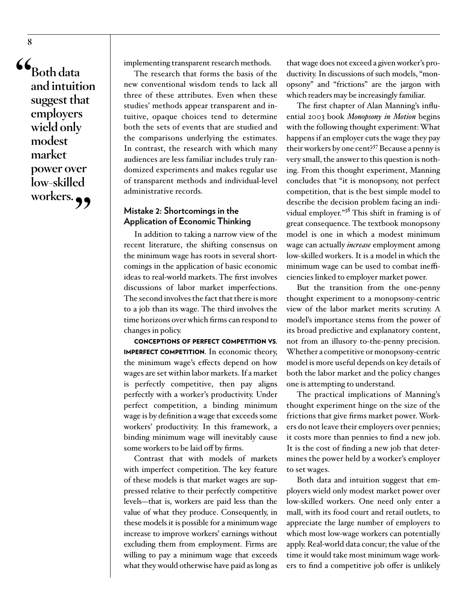$\frac{66}{1}$ **Both data and intuition suggest that employers wield only modest market power over low-skilled**  workers.<sub>??</sub>

implementing transparent research methods.

The research that forms the basis of the new conventional wisdom tends to lack all three of these attributes. Even when these studies' methods appear transparent and intuitive, opaque choices tend to determine both the sets of events that are studied and the comparisons underlying the estimates. In contrast, the research with which many audiences are less familiar includes truly randomized experiments and makes regular use of transparent methods and individual-level administrative records.

#### **Mistake 2: Shortcomings in the Application of Economic Thinking**

In addition to taking a narrow view of the recent literature, the shifting consensus on the minimum wage has roots in several shortcomings in the application of basic economic ideas to real-world markets. The first involves discussions of labor market imperfections. The second involves the fact that there is more to a job than its wage. The third involves the time horizons over which firms can respond to changes in policy.

CONCEPTIONS OF PERFECT COMPETITION VS. IMPERFECT COMPETITION. In economic theory, the minimum wage's effects depend on how wages are set within labor markets. If a market is perfectly competitive, then pay aligns perfectly with a worker's productivity. Under perfect competition, a binding minimum wage is by definition a wage that exceeds some workers' productivity. In this framework, a binding minimum wage will inevitably cause some workers to be laid off by firms.

Contrast that with models of markets with imperfect competition. The key feature of these models is that market wages are suppressed relative to their perfectly competitive levels—that is, workers are paid less than the value of what they produce. Consequently, in these models it is possible for a minimum wage increase to improve workers' earnings without excluding them from employment. Firms are willing to pay a minimum wage that exceeds what they would otherwise have paid as long as

that wage does not exceed a given worker's productivity. In discussions of such models, "monopsony" and "frictions" are the jargon with which readers may be increasingly familiar.

The first chapter of Alan Manning's influential 2003 book *Monopsony in Motion* begins with the following thought experiment: What happens if an employer cuts the wage they pay their workers by one cent?37 Because a penny is very small, the answer to this question is nothing. From this thought experiment, Manning concludes that "it is monopsony, not perfect competition, that is the best simple model to describe the decision problem facing an individual employer."<sup>38</sup> This shift in framing is of great consequence. The textbook monopsony model is one in which a modest minimum wage can actually *increase* employment among low-skilled workers. It is a model in which the minimum wage can be used to combat inefficiencies linked to employer market power.

But the transition from the one-penny thought experiment to a monopsony-centric view of the labor market merits scrutiny. A model's importance stems from the power of its broad predictive and explanatory content, not from an illusory to-the-penny precision. Whether a competitive or monopsony-centric model is more useful depends on key details of both the labor market and the policy changes one is attempting to understand.

The practical implications of Manning's thought experiment hinge on the size of the frictions that give firms market power. Workers do not leave their employers over pennies; it costs more than pennies to find a new job. It is the cost of finding a new job that determines the power held by a worker's employer to set wages.

Both data and intuition suggest that employers wield only modest market power over low-skilled workers. One need only enter a mall, with its food court and retail outlets, to appreciate the large number of employers to which most low-wage workers can potentially apply. Real-world data concur; the value of the time it would take most minimum wage workers to find a competitive job offer is unlikely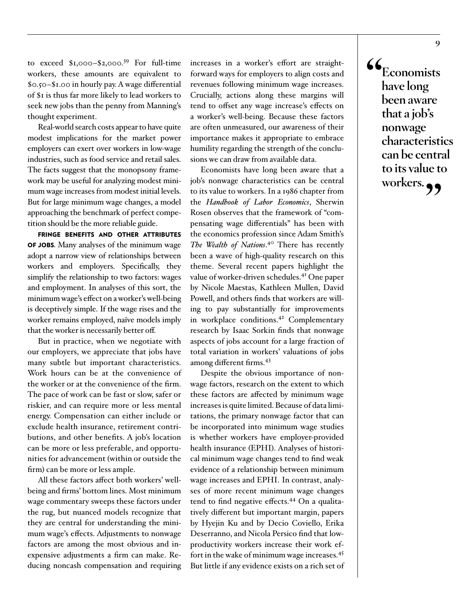to exceed  $$1,000-S2,000.<sup>39</sup>$  For full-time workers, these amounts are equivalent to \$0.50–\$1.00 in hourly pay. A wage differential of \$1 is thus far more likely to lead workers to seek new jobs than the penny from Manning's thought experiment.

Real-world search costs appear to have quite modest implications for the market power employers can exert over workers in low-wage industries, such as food service and retail sales. The facts suggest that the monopsony framework may be useful for analyzing modest minimum wage increases from modest initial levels. But for large minimum wage changes, a model approaching the benchmark of perfect competition should be the more reliable guide.

FRINGE BENEFITS AND OTHER ATTRIBUTES OF JOBS. Many analyses of the minimum wage adopt a narrow view of relationships between workers and employers. Specifically, they simplify the relationship to two factors: wages and employment. In analyses of this sort, the minimum wage's effect on a worker's well-being is deceptively simple. If the wage rises and the worker remains employed, naïve models imply that the worker is necessarily better off.

But in practice, when we negotiate with our employers, we appreciate that jobs have many subtle but important characteristics. Work hours can be at the convenience of the worker or at the convenience of the firm. The pace of work can be fast or slow, safer or riskier, and can require more or less mental energy. Compensation can either include or exclude health insurance, retirement contributions, and other benefits. A job's location can be more or less preferable, and opportunities for advancement (within or outside the firm) can be more or less ample.

All these factors affect both workers' wellbeing and firms' bottom lines. Most minimum wage commentary sweeps these factors under the rug, but nuanced models recognize that they are central for understanding the minimum wage's effects. Adjustments to nonwage factors are among the most obvious and inexpensive adjustments a firm can make. Reducing noncash compensation and requiring increases in a worker's effort are straightforward ways for employers to align costs and revenues following minimum wage increases. Crucially, actions along these margins will tend to offset any wage increase's effects on a worker's well-being. Because these factors are often unmeasured, our awareness of their importance makes it appropriate to embrace humility regarding the strength of the conclusions we can draw from available data.

Economists have long been aware that a job's nonwage characteristics can be central to its value to workers. In a 1986 chapter from the *Handbook of Labor Economics*, Sherwin Rosen observes that the framework of "compensating wage differentials" has been with the economics profession since Adam Smith's *The Wealth of Nations*. <sup>40</sup> There has recently been a wave of high-quality research on this theme. Several recent papers highlight the value of worker-driven schedules.<sup>41</sup> One paper by Nicole Maestas, Kathleen Mullen, David Powell, and others finds that workers are willing to pay substantially for improvements in workplace conditions.<sup>42</sup> Complementary research by Isaac Sorkin finds that nonwage aspects of jobs account for a large fraction of total variation in workers' valuations of jobs among different firms.<sup>43</sup>

Despite the obvious importance of nonwage factors, research on the extent to which these factors are affected by minimum wage increases is quite limited. Because of data limitations, the primary nonwage factor that can be incorporated into minimum wage studies is whether workers have employer-provided health insurance (EPHI). Analyses of historical minimum wage changes tend to find weak evidence of a relationship between minimum wage increases and EPHI. In contrast, analyses of more recent minimum wage changes tend to find negative effects.<sup>44</sup> On a qualitatively different but important margin, papers by Hyejin Ku and by Decio Coviello, Erika Deserranno, and Nicola Persico find that lowproductivity workers increase their work effort in the wake of minimum wage increases.<sup>45</sup> But little if any evidence exists on a rich set of

 $\frac{66}{1}$ **Economists have long been aware that a job's nonwage characteristics can be central to its value to**  workers.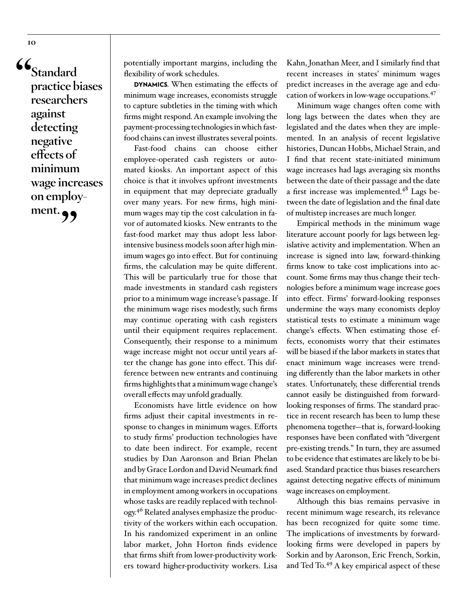**" Standard practice biases researchers against detecting negative effects of minimum wage increases on employ**ment.  $\bullet$ 

**10**

potentially important margins, including the flexibility of work schedules.

DYNAMICS. When estimating the effects of minimum wage increases, economists struggle to capture subtleties in the timing with which firms might respond. An example involving the payment-processing technologies in which fastfood chains can invest illustrates several points.

Fast-food chains can choose either employee-operated cash registers or automated kiosks. An important aspect of this choice is that it involves upfront investments in equipment that may depreciate gradually over many years. For new firms, high minimum wages may tip the cost calculation in favor of automated kiosks. New entrants to the fast-food market may thus adopt less laborintensive business models soon after high minimum wages go into effect. But for continuing firms, the calculation may be quite different. This will be particularly true for those that made investments in standard cash registers prior to a minimum wage increase's passage. If the minimum wage rises modestly, such firms may continue operating with cash registers until their equipment requires replacement. Consequently, their response to a minimum wage increase might not occur until years after the change has gone into effect. This difference between new entrants and continuing firms highlights that a minimum wage change's overall effects may unfold gradually.

Economists have little evidence on how firms adjust their capital investments in response to changes in minimum wages. Efforts to study firms' production technologies have to date been indirect. For example, recent studies by Dan Aaronson and Brian Phelan and by Grace Lordon and David Neumark find that minimum wage increases predict declines in employment among workers in occupations whose tasks are readily replaced with technology.46 Related analyses emphasize the productivity of the workers within each occupation. In his randomized experiment in an online labor market, John Horton finds evidence that firms shift from lower-productivity workers toward higher-productivity workers. Lisa

Kahn, Jonathan Meer, and I similarly find that recent increases in states' minimum wages predict increases in the average age and education of workers in low-wage occupations.<sup>47</sup>

Minimum wage changes often come with long lags between the dates when they are legislated and the dates when they are implemented. In an analysis of recent legislative histories, Duncan Hobbs, Michael Strain, and I find that recent state-initiated minimum wage increases had lags averaging six months between the date of their passage and the date a first increase was implemented.<sup>48</sup> Lags between the date of legislation and the final date of multistep increases are much longer.

Empirical methods in the minimum wage literature account poorly for lags between legislative activity and implementation. When an increase is signed into law, forward-thinking firms know to take cost implications into account. Some firms may thus change their technologies before a minimum wage increase goes into effect. Firms' forward-looking responses undermine the ways many economists deploy statistical tests to estimate a minimum wage change's effects. When estimating those effects, economists worry that their estimates will be biased if the labor markets in states that enact minimum wage increases were trending differently than the labor markets in other states. Unfortunately, these differential trends cannot easily be distinguished from forwardlooking responses of firms. The standard practice in recent research has been to lump these phenomena together—that is, forward-looking responses have been conflated with "divergent pre-existing trends." In turn, they are assumed to be evidence that estimates are likely to be biased. Standard practice thus biases researchers against detecting negative effects of minimum wage increases on employment.

Although this bias remains pervasive in recent minimum wage research, its relevance has been recognized for quite some time. The implications of investments by forwardlooking firms were developed in papers by Sorkin and by Aaronson, Eric French, Sorkin, and Ted To.<sup>49</sup> A key empirical aspect of these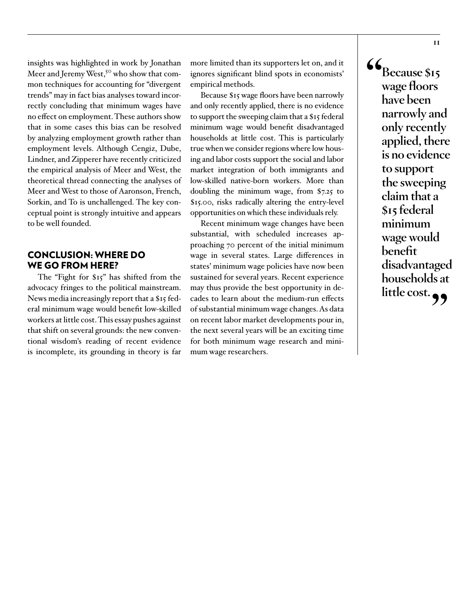insights was highlighted in work by Jonathan Meer and Jeremy West,<sup>50</sup> who show that common techniques for accounting for "divergent trends" may in fact bias analyses toward incorrectly concluding that minimum wages have no effect on employment. These authors show that in some cases this bias can be resolved by analyzing employment growth rather than employment levels. Although Cengiz, Dube, Lindner, and Zipperer have recently criticized the empirical analysis of Meer and West, the theoretical thread connecting the analyses of Meer and West to those of Aaronson, French, Sorkin, and To is unchallenged. The key conceptual point is strongly intuitive and appears to be well founded.

#### CONCLUSION: WHERE DO WE GO FROM HERE?

The "Fight for \$15" has shifted from the advocacy fringes to the political mainstream. News media increasingly report that a \$15 federal minimum wage would benefit low-skilled workers at little cost. This essay pushes against that shift on several grounds: the new conventional wisdom's reading of recent evidence is incomplete, its grounding in theory is far

more limited than its supporters let on, and it ignores significant blind spots in economists' empirical methods.

Because \$15 wage floors have been narrowly and only recently applied, there is no evidence to support the sweeping claim that a \$15 federal minimum wage would benefit disadvantaged households at little cost. This is particularly true when we consider regions where low housing and labor costs support the social and labor market integration of both immigrants and low-skilled native-born workers. More than doubling the minimum wage, from \$7.25 to \$15.00, risks radically altering the entry-level opportunities on which these individuals rely.

Recent minimum wage changes have been substantial, with scheduled increases approaching 70 percent of the initial minimum wage in several states. Large differences in states' minimum wage policies have now been sustained for several years. Recent experience may thus provide the best opportunity in decades to learn about the medium-run effects of substantial minimum wage changes. As data on recent labor market developments pour in, the next several years will be an exciting time for both minimum wage research and minimum wage researchers.

 $\frac{66}{1}$ **Because \$15 wage floors have been narrowly and only recently applied, there is no evidence to support the sweeping claim that a \$15 federal minimum wage would benefit disadvantaged households at little cost."**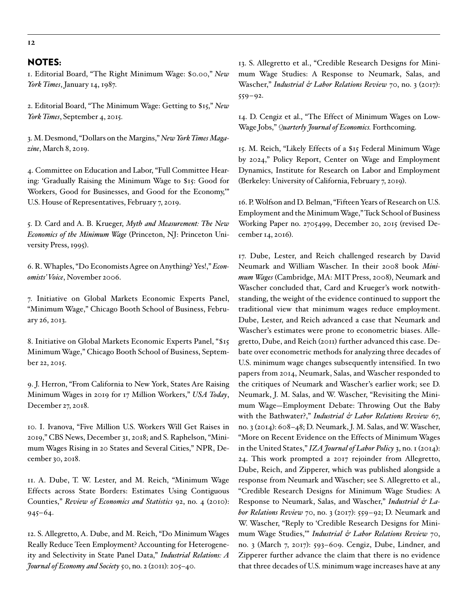#### NOTES:

1. Editorial Board, "The Right Minimum Wage: \$0.00," *New York Times*, January 14, 1987.

2. Editorial Board, "The Minimum Wage: Getting to \$15," *New York Times*, September 4, 2015.

3. M. Desmond, "Dollars on the Margins," *New York Times Magazine*, March 8, 2019.

4. Committee on Education and Labor, "Full Committee Hearing: 'Gradually Raising the Minimum Wage to \$15: Good for Workers, Good for Businesses, and Good for the Economy,'" U.S. House of Representatives, February 7, 2019.

5. D. Card and A. B. Krueger, *Myth and Measurement: The New Economics of the Minimum Wage* (Princeton, NJ: Princeton University Press, 1995).

6. R. Whaples, "Do Economists Agree on Anything? Yes!," *Economists' Voice*, November 2006.

7. Initiative on Global Markets Economic Experts Panel, "Minimum Wage," Chicago Booth School of Business, February 26, 2013.

8. Initiative on Global Markets Economic Experts Panel, "\$15 Minimum Wage," Chicago Booth School of Business, September 22, 2015.

9. J. Herron, "From California to New York, States Are Raising Minimum Wages in 2019 for 17 Million Workers," *USA Today*, December 27, 2018.

10. I. Ivanova, "Five Million U.S. Workers Will Get Raises in 2019," CBS News, December 31, 2018; and S. Raphelson, "Minimum Wages Rising in 20 States and Several Cities," NPR, December 30, 2018.

11. A. Dube, T. W. Lester, and M. Reich, "Minimum Wage Effects across State Borders: Estimates Using Contiguous Counties," *Review of Economics and Statistics* 92, no. 4 (2010): 945–64.

12. S. Allegretto, A. Dube, and M. Reich, "Do Minimum Wages Really Reduce Teen Employment? Accounting for Heterogeneity and Selectivity in State Panel Data," *Industrial Relations: A Journal of Economy and Society* 50, no. 2 (2011): 205–40.

13. S. Allegretto et al., "Credible Research Designs for Minimum Wage Studies: A Response to Neumark, Salas, and Wascher," *Industrial & Labor Relations Review* 70, no. 3 (2017): 559–92.

14. D. Cengiz et al., "The Effect of Minimum Wages on Low-Wage Jobs," *Quarterly Journal of Economics.* Forthcoming.

15. M. Reich, "Likely Effects of a \$15 Federal Minimum Wage by 2024," Policy Report, Center on Wage and Employment Dynamics, Institute for Research on Labor and Employment (Berkeley: University of California, February 7, 2019).

16. P. Wolfson and D. Belman, "Fifteen Years of Research on U.S. Employment and the Minimum Wage," Tuck School of Business Working Paper no. 2705499, December 20, 2015 (revised December 14, 2016).

17. Dube, Lester, and Reich challenged research by David Neumark and William Wascher. In their 2008 book *Minimum Wages* (Cambridge, MA: MIT Press, 2008), Neumark and Wascher concluded that, Card and Krueger's work notwithstanding, the weight of the evidence continued to support the traditional view that minimum wages reduce employment. Dube, Lester, and Reich advanced a case that Neumark and Wascher's estimates were prone to econometric biases. Allegretto, Dube, and Reich (2011) further advanced this case. Debate over econometric methods for analyzing three decades of U.S. minimum wage changes subsequently intensified. In two papers from 2014, Neumark, Salas, and Wascher responded to the critiques of Neumark and Wascher's earlier work; see D. Neumark, J. M. Salas, and W. Wascher, "Revisiting the Minimum Wage—Employment Debate: Throwing Out the Baby with the Bathwater?," *Industrial & Labor Relations Review* 67, no. 3 (2014): 608–48; D. Neumark, J. M. Salas, and W. Wascher, "More on Recent Evidence on the Effects of Minimum Wages in the United States," *IZA Journal of Labor Policy* 3, no. 1 (2014): 24. This work prompted a 2017 rejoinder from Allegretto, Dube, Reich, and Zipperer, which was published alongside a response from Neumark and Wascher; see S. Allegretto et al., "Credible Research Designs for Minimum Wage Studies: A Response to Neumark, Salas, and Wascher," *Industrial & Labor Relations Review* 70, no. 3 (2017): 559–92; D. Neumark and W. Wascher, "Reply to 'Credible Research Designs for Minimum Wage Studies,'" *Industrial & Labor Relations Review* 70, no. 3 (March 7, 2017): 593–609. Cengiz, Dube, Lindner, and Zipperer further advance the claim that there is no evidence that three decades of U.S. minimum wage increases have at any

**12**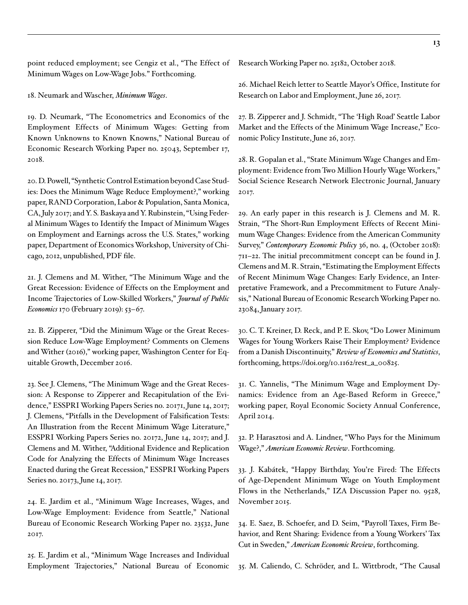point reduced employment; see Cengiz et al., "The Effect of Minimum Wages on Low-Wage Jobs." Forthcoming.

18. Neumark and Wascher, *Minimum Wages*.

19. D. Neumark, "The Econometrics and Economics of the Employment Effects of Minimum Wages: Getting from Known Unknowns to Known Knowns," National Bureau of Economic Research Working Paper no. 25043, September 17, 2018.

20. D. Powell, "Synthetic Control Estimation beyond Case Studies: Does the Minimum Wage Reduce Employment?," working paper, RAND Corporation, Labor & Population, Santa Monica, CA, July 2017; and Y. S. Baskaya and Y. Rubinstein, "Using Federal Minimum Wages to Identify the Impact of Minimum Wages on Employment and Earnings across the U.S. States," working paper, Department of Economics Workshop, University of Chicago, 2012, unpublished, PDF file.

21. J. Clemens and M. Wither, "The Minimum Wage and the Great Recession: Evidence of Effects on the Employment and Income Trajectories of Low-Skilled Workers," *Journal of Public Economics* 170 (February 2019): 53–67.

22. B. Zipperer, "Did the Minimum Wage or the Great Recession Reduce Low-Wage Employment? Comments on Clemens and Wither (2016)," working paper, Washington Center for Equitable Growth, December 2016.

23. See J. Clemens, "The Minimum Wage and the Great Recession: A Response to Zipperer and Recapitulation of the Evidence," ESSPRI Working Papers Series no. 20171, June 14, 2017; J. Clemens, "Pitfalls in the Development of Falsification Tests: An Illustration from the Recent Minimum Wage Literature," ESSPRI Working Papers Series no. 20172, June 14, 2017; and J. Clemens and M. Wither, "Additional Evidence and Replication Code for Analyzing the Effects of Minimum Wage Increases Enacted during the Great Recession," ESSPRI Working Papers Series no. 20173, June 14, 2017.

24. E. Jardim et al., "Minimum Wage Increases, Wages, and Low-Wage Employment: Evidence from Seattle," National Bureau of Economic Research Working Paper no. 23532, June 2017.

25. E. Jardim et al., "Minimum Wage Increases and Individual Employment Trajectories," National Bureau of Economic Research Working Paper no. 25182, October 2018.

26. Michael Reich letter to Seattle Mayor's Office, Institute for Research on Labor and Employment, June 26, 2017.

27. B. Zipperer and J. Schmidt, "The 'High Road' Seattle Labor Market and the Effects of the Minimum Wage Increase," Economic Policy Institute, June 26, 2017.

28. R. Gopalan et al., "State Minimum Wage Changes and Employment: Evidence from Two Million Hourly Wage Workers," Social Science Research Network Electronic Journal, January 2017.

29. An early paper in this research is J. Clemens and M. R. Strain, "The Short-Run Employment Effects of Recent Minimum Wage Changes: Evidence from the American Community Survey," *Contemporary Economic Policy* 36, no. 4, (October 2018): 711–22. The initial precommitment concept can be found in J. Clemens and M. R. Strain, "Estimating the Employment Effects of Recent Minimum Wage Changes: Early Evidence, an Interpretative Framework, and a Precommitment to Future Analysis," National Bureau of Economic Research Working Paper no. 23084, January 2017.

30. C. T. Kreiner, D. Reck, and P. E. Skov, "Do Lower Minimum Wages for Young Workers Raise Their Employment? Evidence from a Danish Discontinuity," *Review of Economics and Statistics*, forthcoming, https://doi.org/10.1162/rest\_a\_00825.

31. C. Yannelis, "The Minimum Wage and Employment Dynamics: Evidence from an Age-Based Reform in Greece," working paper, Royal Economic Society Annual Conference, April 2014.

32. P. Harasztosi and A. Lindner, "Who Pays for the Minimum Wage?," *American Economic Review*. Forthcoming.

33. J. Kabátek, "Happy Birthday, You're Fired: The Effects of Age-Dependent Minimum Wage on Youth Employment Flows in the Netherlands," IZA Discussion Paper no. 9528, November 2015.

34. E. Saez, B. Schoefer, and D. Seim, "Payroll Taxes, Firm Behavior, and Rent Sharing: Evidence from a Young Workers' Tax Cut in Sweden," *American Economic Review*, forthcoming.

35. M. Caliendo, C. Schröder, and L. Wittbrodt, "The Causal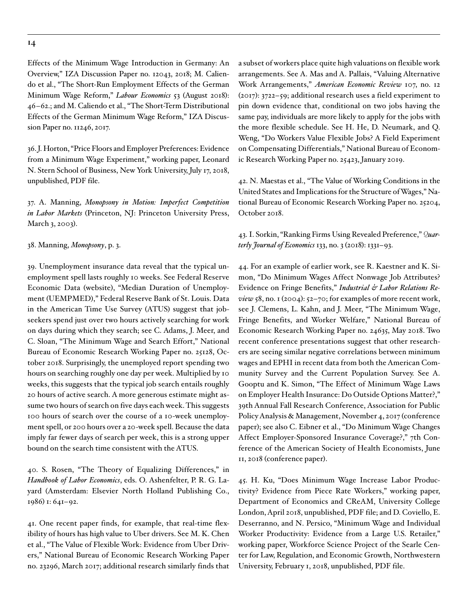Effects of the Minimum Wage Introduction in Germany: An Overview," IZA Discussion Paper no. 12043, 2018; M. Caliendo et al., "The Short-Run Employment Effects of the German Minimum Wage Reform," *Labour Economics* 53 (August 2018): 46–62.; and M. Caliendo et al., "The Short-Term Distributional Effects of the German Minimum Wage Reform," IZA Discussion Paper no. 11246, 2017.

36. J. Horton, "Price Floors and Employer Preferences: Evidence from a Minimum Wage Experiment," working paper, Leonard N. Stern School of Business, New York University, July 17, 2018, unpublished, PDF file.

37. A. Manning, *Monopsony in Motion: Imperfect Competition in Labor Markets* (Princeton, NJ: Princeton University Press, March 3, 2003).

38. Manning, *Monopsony*, p. 3.

39. Unemployment insurance data reveal that the typical unemployment spell lasts roughly 10 weeks. See Federal Reserve Economic Data (website), "Median Duration of Unemployment (UEMPMED)," Federal Reserve Bank of St. Louis. Data in the American Time Use Survey (ATUS) suggest that jobseekers spend just over two hours actively searching for work on days during which they search; see C. Adams, J. Meer, and C. Sloan, "The Minimum Wage and Search Effort," National Bureau of Economic Research Working Paper no. 25128, October 2018. Surprisingly, the unemployed report spending two hours on searching roughly one day per week. Multiplied by 10 weeks, this suggests that the typical job search entails roughly 20 hours of active search. A more generous estimate might assume two hours of search on five days each week. This suggests 100 hours of search over the course of a 10-week unemployment spell, or 200 hours over a 20-week spell. Because the data imply far fewer days of search per week, this is a strong upper bound on the search time consistent with the ATUS.

40. S. Rosen, "The Theory of Equalizing Differences," in *Handbook of Labor Economics*, eds. O. Ashenfelter, P. R. G. Layard (Amsterdam: Elsevier North Holland Publishing Co., 1986) 1: 641–92.

41. One recent paper finds, for example, that real-time flexibility of hours has high value to Uber drivers. See M. K. Chen et al., "The Value of Flexible Work: Evidence from Uber Drivers," National Bureau of Economic Research Working Paper no. 23296, March 2017; additional research similarly finds that

a subset of workers place quite high valuations on flexible work arrangements. See A. Mas and A. Pallais, "Valuing Alternative Work Arrangements," *American Economic Review* 107, no. 12 (2017): 3722–59; additional research uses a field experiment to pin down evidence that, conditional on two jobs having the same pay, individuals are more likely to apply for the jobs with the more flexible schedule. See H. He, D. Neumark, and Q. Weng, "Do Workers Value Flexible Jobs? A Field Experiment on Compensating Differentials," National Bureau of Economic Research Working Paper no. 25423, January 2019.

42. N. Maestas et al., "The Value of Working Conditions in the United States and Implications for the Structure of Wages," National Bureau of Economic Research Working Paper no. 25204, October 2018.

43. I. Sorkin, "Ranking Firms Using Revealed Preference," *Quarterly Journal of Economics* 133, no. 3 (2018): 1331–93.

44. For an example of earlier work, see R. Kaestner and K. Simon, "Do Minimum Wages Affect Nonwage Job Attributes? Evidence on Fringe Benefits," *Industrial & Labor Relations Review* 58, no. 1 (2004): 52–70; for examples of more recent work, see J. Clemens, L. Kahn, and J. Meer, "The Minimum Wage, Fringe Benefits, and Worker Welfare," National Bureau of Economic Research Working Paper no. 24635, May 2018. Two recent conference presentations suggest that other researchers are seeing similar negative correlations between minimum wages and EPHI in recent data from both the American Community Survey and the Current Population Survey. See A. Gooptu and K. Simon, "The Effect of Minimum Wage Laws on Employer Health Insurance: Do Outside Options Matter?," 39th Annual Fall Research Conference, Association for Public Policy Analysis & Management, November 4, 2017 (conference paper); see also C. Eibner et al., "Do Minimum Wage Changes Affect Employer-Sponsored Insurance Coverage?," 7th Conference of the American Society of Health Economists, June 11, 2018 (conference paper).

45. H. Ku, "Does Minimum Wage Increase Labor Productivity? Evidence from Piece Rate Workers," working paper, Department of Economics and CReAM, University College London, April 2018, unpublished, PDF file; and D. Coviello, E. Deserranno, and N. Persico, "Minimum Wage and Individual Worker Productivity: Evidence from a Large U.S. Retailer," working paper, Workforce Science Project of the Searle Center for Law, Regulation, and Economic Growth, Northwestern University, February 1, 2018, unpublished, PDF file.

#### **14**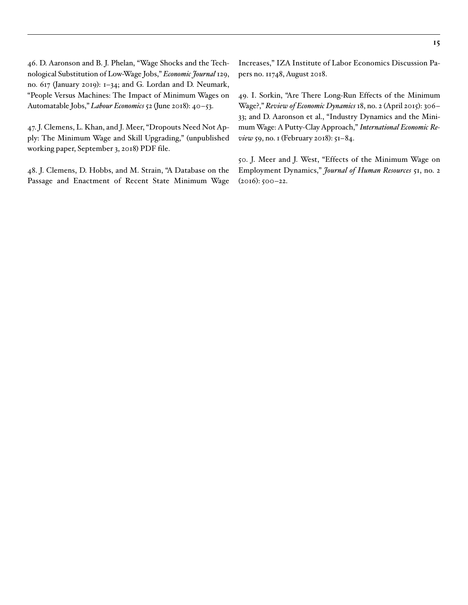46. D. Aaronson and B. J. Phelan, "Wage Shocks and the Technological Substitution of Low-Wage Jobs," *Economic Journal* 129, no. 617 (January 2019): 1–34; and G. Lordan and D. Neumark, "People Versus Machines: The Impact of Minimum Wages on Automatable Jobs," *Labour Economics* 52 (June 2018): 40–53.

47. J. Clemens, L. Khan, and J. Meer, "Dropouts Need Not Apply: The Minimum Wage and Skill Upgrading," (unpublished working paper, September 3, 2018) PDF file.

48. J. Clemens, D. Hobbs, and M. Strain, "A Database on the Passage and Enactment of Recent State Minimum Wage Increases," IZA Institute of Labor Economics Discussion Papers no. 11748, August 2018.

49. I. Sorkin, "Are There Long-Run Effects of the Minimum Wage?," *Review of Economic Dynamics* 18, no. 2 (April 2015): 306– 33; and D. Aaronson et al., "Industry Dynamics and the Minimum Wage: A Putty-Clay Approach," *International Economic Review* 59, no. 1 (February 2018): 51–84.

50. J. Meer and J. West, "Effects of the Minimum Wage on Employment Dynamics," *Journal of Human Resources* 51, no. 2 (2016): 500–22.